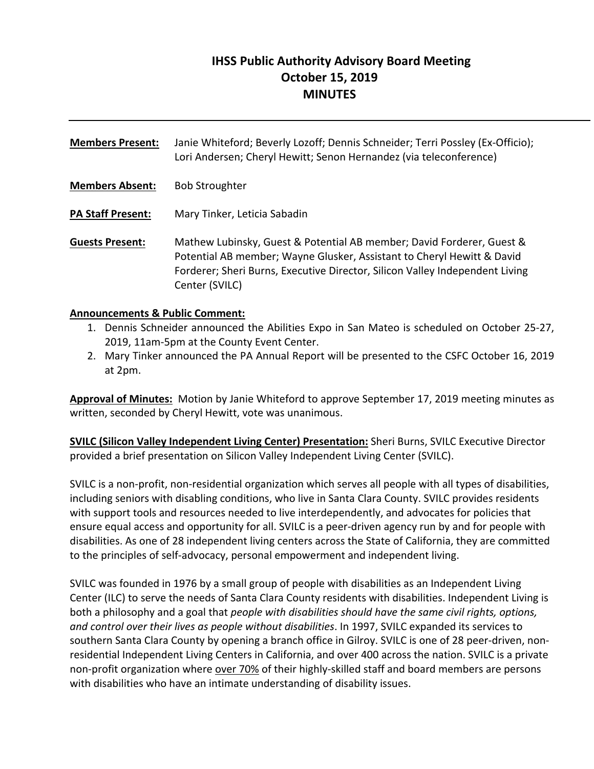# **IHSS Public Authority Advisory Board Meeting October 15, 2019 MINUTES**

**Members Present:** Janie Whiteford; Beverly Lozoff; Dennis Schneider; Terri Possley (Ex‐Officio); Lori Andersen; Cheryl Hewitt; Senon Hernandez (via teleconference) **Members Absent:** Bob Stroughter **PA Staff Present:** Mary Tinker, Leticia Sabadin **Guests Present:** Mathew Lubinsky, Guest & Potential AB member; David Forderer, Guest & Potential AB member; Wayne Glusker, Assistant to Cheryl Hewitt & David Forderer; Sheri Burns, Executive Director, Silicon Valley Independent Living Center (SVILC)

#### **Announcements & Public Comment:**

- 1. Dennis Schneider announced the Abilities Expo in San Mateo is scheduled on October 25‐27, 2019, 11am‐5pm at the County Event Center.
- 2. Mary Tinker announced the PA Annual Report will be presented to the CSFC October 16, 2019 at 2pm.

**Approval of Minutes:** Motion by Janie Whiteford to approve September 17, 2019 meeting minutes as written, seconded by Cheryl Hewitt, vote was unanimous.

**SVILC (Silicon Valley Independent Living Center) Presentation:** Sheri Burns, SVILC Executive Director provided a brief presentation on Silicon Valley Independent Living Center (SVILC).

SVILC is a non‐profit, non‐residential organization which serves all people with all types of disabilities, including seniors with disabling conditions, who live in Santa Clara County. SVILC provides residents with support tools and resources needed to live interdependently, and advocates for policies that ensure equal access and opportunity for all. SVILC is a peer‐driven agency run by and for people with disabilities. As one of 28 independent living centers across the State of California, they are committed to the principles of self‐advocacy, personal empowerment and independent living.

SVILC was founded in 1976 by a small group of people with disabilities as an Independent Living Center (ILC) to serve the needs of Santa Clara County residents with disabilities. Independent Living is both a philosophy and a goal that *people with disabilities should have the same civil rights, options, and control over their lives as people without disabilities*. In 1997, SVILC expanded its services to southern Santa Clara County by opening a branch office in Gilroy. SVILC is one of 28 peer-driven, nonresidential Independent Living Centers in California, and over 400 across the nation. SVILC is a private non‐profit organization where over 70% of their highly‐skilled staff and board members are persons with disabilities who have an intimate understanding of disability issues.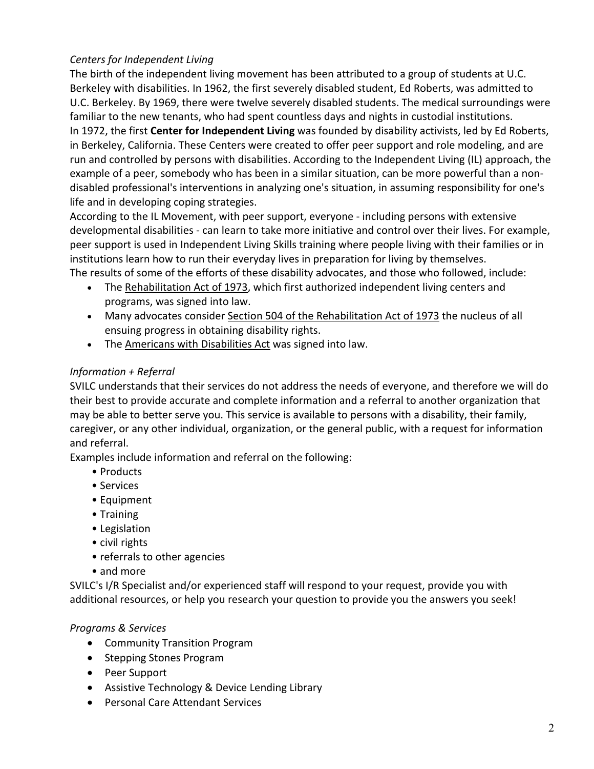# *Centers for Independent Living*

The birth of the independent living movement has been attributed to a group of students at U.C. Berkeley with disabilities. In 1962, the first severely disabled student, Ed Roberts, was admitted to U.C. Berkeley. By 1969, there were twelve severely disabled students. The medical surroundings were familiar to the new tenants, who had spent countless days and nights in custodial institutions. In 1972, the first **Center for Independent Living** was founded by disability activists, led by Ed Roberts, in Berkeley, California. These Centers were created to offer peer support and role modeling, and are run and controlled by persons with disabilities. According to the Independent Living (IL) approach, the example of a peer, somebody who has been in a similar situation, can be more powerful than a non‐ disabled professional's interventions in analyzing one's situation, in assuming responsibility for one's life and in developing coping strategies.

According to the IL Movement, with peer support, everyone ‐ including persons with extensive developmental disabilities ‐ can learn to take more initiative and control over their lives. For example, peer support is used in Independent Living Skills training where people living with their families or in institutions learn how to run their everyday lives in preparation for living by themselves. The results of some of the efforts of these disability advocates, and those who followed, include:

- The Rehabilitation Act of 1973, which first authorized independent living centers and programs, was signed into law.
- Many advocates consider Section 504 of the Rehabilitation Act of 1973 the nucleus of all ensuing progress in obtaining disability rights.
- The Americans with Disabilities Act was signed into law.

# *Information + Referral*

SVILC understands that their services do not address the needs of everyone, and therefore we will do their best to provide accurate and complete information and a referral to another organization that may be able to better serve you. This service is available to persons with a disability, their family, caregiver, or any other individual, organization, or the general public, with a request for information and referral.

Examples include information and referral on the following:

- Products
- Services
- Equipment
- Training
- Legislation
- civil rights
- referrals to other agencies
- and more

SVILC's I/R Specialist and/or experienced staff will respond to your request, provide you with additional resources, or help you research your question to provide you the answers you seek!

# *Programs & Services*

- Community Transition Program
- Stepping Stones Program
- Peer Support
- Assistive Technology & Device Lending Library
- Personal Care Attendant Services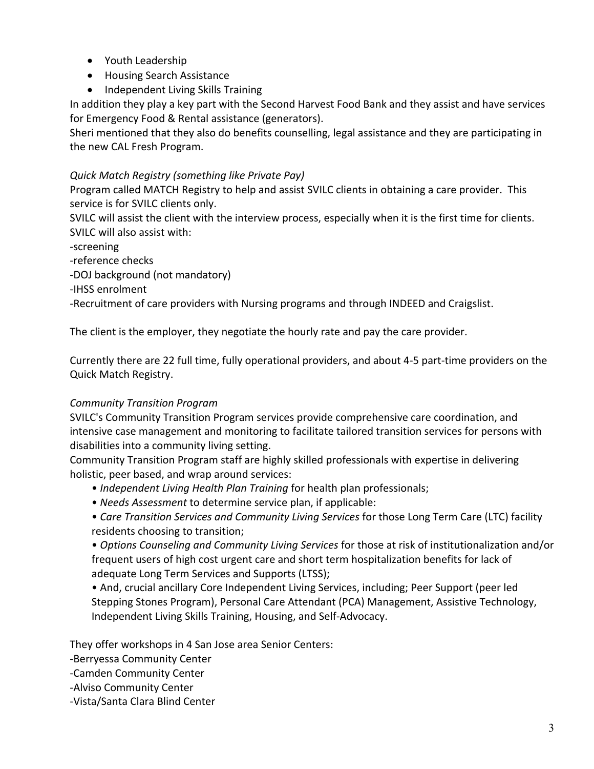- Youth Leadership
- Housing Search Assistance
- Independent Living Skills Training

In addition they play a key part with the Second Harvest Food Bank and they assist and have services for Emergency Food & Rental assistance (generators).

Sheri mentioned that they also do benefits counselling, legal assistance and they are participating in the new CAL Fresh Program.

#### *Quick Match Registry (something like Private Pay)*

Program called MATCH Registry to help and assist SVILC clients in obtaining a care provider. This service is for SVILC clients only.

SVILC will assist the client with the interview process, especially when it is the first time for clients. SVILC will also assist with:

‐screening

‐reference checks

‐DOJ background (not mandatory)

‐IHSS enrolment

‐Recruitment of care providers with Nursing programs and through INDEED and Craigslist.

The client is the employer, they negotiate the hourly rate and pay the care provider.

Currently there are 22 full time, fully operational providers, and about 4‐5 part‐time providers on the Quick Match Registry.

#### *Community Transition Program*

SVILC's Community Transition Program services provide comprehensive care coordination, and intensive case management and monitoring to facilitate tailored transition services for persons with disabilities into a community living setting.

Community Transition Program staff are highly skilled professionals with expertise in delivering holistic, peer based, and wrap around services:

- • *Independent Living Health Plan Training* for health plan professionals;
- *Needs Assessment* to determine service plan, if applicable:
- *Care Transition Services and Community Living Services* for those Long Term Care (LTC) facility residents choosing to transition;

• *Options Counseling and Community Living Services* for those at risk of institutionalization and/or frequent users of high cost urgent care and short term hospitalization benefits for lack of adequate Long Term Services and Supports (LTSS);

• And, crucial ancillary Core Independent Living Services, including; Peer Support (peer led Stepping Stones Program), Personal Care Attendant (PCA) Management, Assistive Technology, Independent Living Skills Training, Housing, and Self‐Advocacy.

They offer workshops in 4 San Jose area Senior Centers:

‐Berryessa Community Center

‐Camden Community Center

‐Alviso Community Center

‐Vista/Santa Clara Blind Center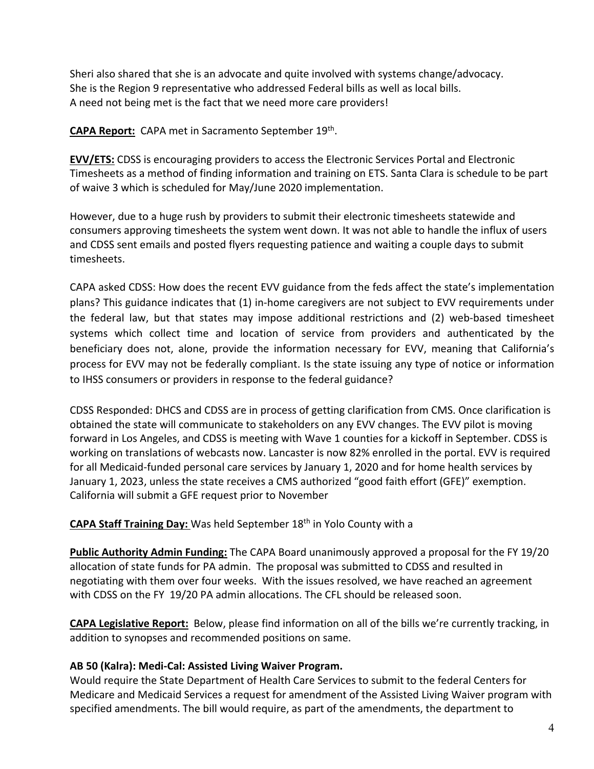Sheri also shared that she is an advocate and quite involved with systems change/advocacy. She is the Region 9 representative who addressed Federal bills as well as local bills. A need not being met is the fact that we need more care providers!

**CAPA Report:** CAPA met in Sacramento September 19th.

**EVV/ETS:** CDSS is encouraging providers to access the Electronic Services Portal and Electronic Timesheets as a method of finding information and training on ETS. Santa Clara is schedule to be part of waive 3 which is scheduled for May/June 2020 implementation.

However, due to a huge rush by providers to submit their electronic timesheets statewide and consumers approving timesheets the system went down. It was not able to handle the influx of users and CDSS sent emails and posted flyers requesting patience and waiting a couple days to submit timesheets.

CAPA asked CDSS: How does the recent EVV guidance from the feds affect the state's implementation plans? This guidance indicates that (1) in‐home caregivers are not subject to EVV requirements under the federal law, but that states may impose additional restrictions and (2) web-based timesheet systems which collect time and location of service from providers and authenticated by the beneficiary does not, alone, provide the information necessary for EVV, meaning that California's process for EVV may not be federally compliant. Is the state issuing any type of notice or information to IHSS consumers or providers in response to the federal guidance?

CDSS Responded: DHCS and CDSS are in process of getting clarification from CMS. Once clarification is obtained the state will communicate to stakeholders on any EVV changes. The EVV pilot is moving forward in Los Angeles, and CDSS is meeting with Wave 1 counties for a kickoff in September. CDSS is working on translations of webcasts now. Lancaster is now 82% enrolled in the portal. EVV is required for all Medicaid-funded personal care services by January 1, 2020 and for home health services by January 1, 2023, unless the state receives a CMS authorized "good faith effort (GFE)" exemption. California will submit a GFE request prior to November

**CAPA Staff Training Day:** Was held September 18th in Yolo County with a

**Public Authority Admin Funding:** The CAPA Board unanimously approved a proposal for the FY 19/20 allocation of state funds for PA admin. The proposal was submitted to CDSS and resulted in negotiating with them over four weeks. With the issues resolved, we have reached an agreement with CDSS on the FY 19/20 PA admin allocations. The CFL should be released soon.

**CAPA Legislative Report:** Below, please find information on all of the bills we're currently tracking, in addition to synopses and recommended positions on same.

#### **AB 50 (Kalra): Medi‐Cal: Assisted Living Waiver Program.**

Would require the State Department of Health Care Services to submit to the federal Centers for Medicare and Medicaid Services a request for amendment of the Assisted Living Waiver program with specified amendments. The bill would require, as part of the amendments, the department to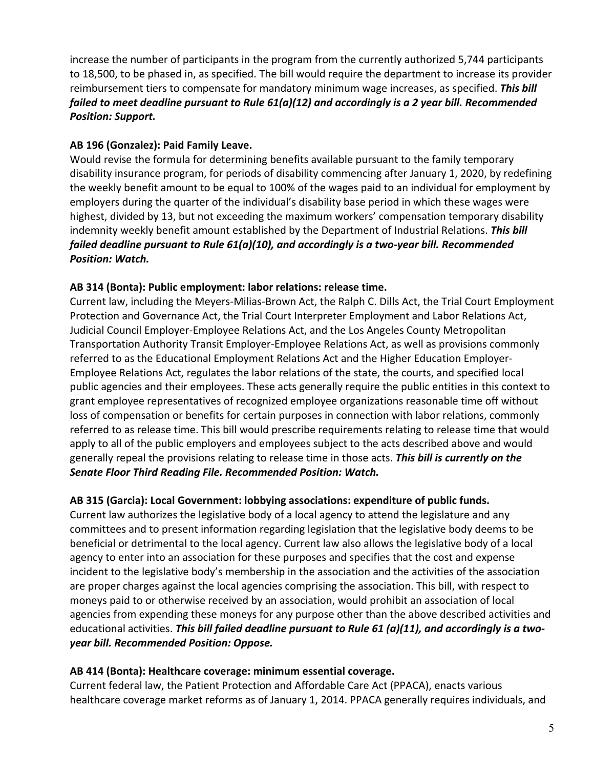increase the number of participants in the program from the currently authorized 5,744 participants to 18,500, to be phased in, as specified. The bill would require the department to increase its provider reimbursement tiers to compensate for mandatory minimum wage increases, as specified. *This bill failed to meet deadline pursuant to Rule 61(a)(12) and accordingly is a 2 year bill. Recommended Position: Support.* 

### **AB 196 (Gonzalez): Paid Family Leave.**

Would revise the formula for determining benefits available pursuant to the family temporary disability insurance program, for periods of disability commencing after January 1, 2020, by redefining the weekly benefit amount to be equal to 100% of the wages paid to an individual for employment by employers during the quarter of the individual's disability base period in which these wages were highest, divided by 13, but not exceeding the maximum workers' compensation temporary disability indemnity weekly benefit amount established by the Department of Industrial Relations. *This bill failed deadline pursuant to Rule 61(a)(10), and accordingly is a two‐year bill. Recommended Position: Watch.*

#### **AB 314 (Bonta): Public employment: labor relations: release time.**

Current law, including the Meyers‐Milias‐Brown Act, the Ralph C. Dills Act, the Trial Court Employment Protection and Governance Act, the Trial Court Interpreter Employment and Labor Relations Act, Judicial Council Employer‐Employee Relations Act, and the Los Angeles County Metropolitan Transportation Authority Transit Employer‐Employee Relations Act, as well as provisions commonly referred to as the Educational Employment Relations Act and the Higher Education Employer‐ Employee Relations Act, regulates the labor relations of the state, the courts, and specified local public agencies and their employees. These acts generally require the public entities in this context to grant employee representatives of recognized employee organizations reasonable time off without loss of compensation or benefits for certain purposes in connection with labor relations, commonly referred to as release time. This bill would prescribe requirements relating to release time that would apply to all of the public employers and employees subject to the acts described above and would generally repeal the provisions relating to release time in those acts. *This bill is currently on the Senate Floor Third Reading File. Recommended Position: Watch.*

#### **AB 315 (Garcia): Local Government: lobbying associations: expenditure of public funds.**

Current law authorizes the legislative body of a local agency to attend the legislature and any committees and to present information regarding legislation that the legislative body deems to be beneficial or detrimental to the local agency. Current law also allows the legislative body of a local agency to enter into an association for these purposes and specifies that the cost and expense incident to the legislative body's membership in the association and the activities of the association are proper charges against the local agencies comprising the association. This bill, with respect to moneys paid to or otherwise received by an association, would prohibit an association of local agencies from expending these moneys for any purpose other than the above described activities and educational activities. *This bill failed deadline pursuant to Rule 61 (a)(11), and accordingly is a two‐ year bill. Recommended Position: Oppose.* 

#### **AB 414 (Bonta): Healthcare coverage: minimum essential coverage.**

Current federal law, the Patient Protection and Affordable Care Act (PPACA), enacts various healthcare coverage market reforms as of January 1, 2014. PPACA generally requires individuals, and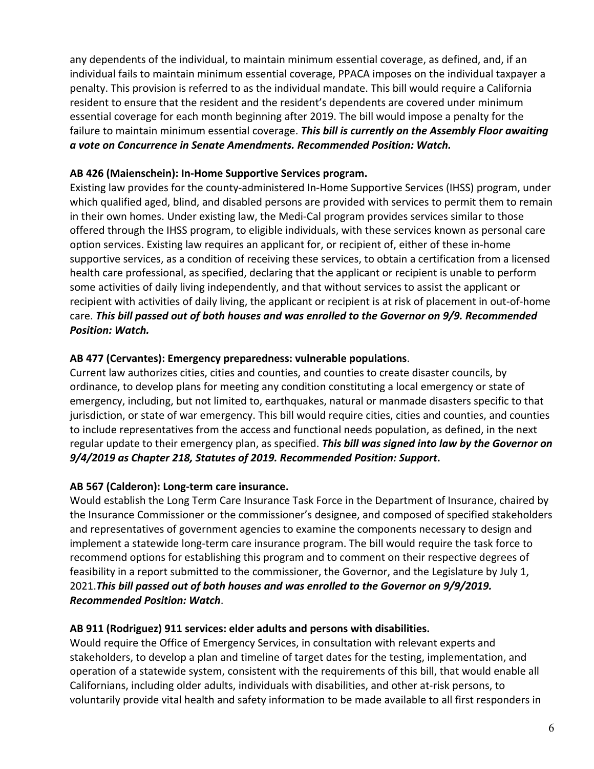any dependents of the individual, to maintain minimum essential coverage, as defined, and, if an individual fails to maintain minimum essential coverage, PPACA imposes on the individual taxpayer a penalty. This provision is referred to as the individual mandate. This bill would require a California resident to ensure that the resident and the resident's dependents are covered under minimum essential coverage for each month beginning after 2019. The bill would impose a penalty for the failure to maintain minimum essential coverage. *This bill is currently on the Assembly Floor awaiting a vote on Concurrence in Senate Amendments. Recommended Position: Watch.* 

#### **AB 426 (Maienschein): In‐Home Supportive Services program.**

Existing law provides for the county‐administered In‐Home Supportive Services (IHSS) program, under which qualified aged, blind, and disabled persons are provided with services to permit them to remain in their own homes. Under existing law, the Medi‐Cal program provides services similar to those offered through the IHSS program, to eligible individuals, with these services known as personal care option services. Existing law requires an applicant for, or recipient of, either of these in‐home supportive services, as a condition of receiving these services, to obtain a certification from a licensed health care professional, as specified, declaring that the applicant or recipient is unable to perform some activities of daily living independently, and that without services to assist the applicant or recipient with activities of daily living, the applicant or recipient is at risk of placement in out‐of‐home care. *This bill passed out of both houses and was enrolled to the Governor on 9/9. Recommended Position: Watch.* 

### **AB 477 (Cervantes): Emergency preparedness: vulnerable populations**.

Current law authorizes cities, cities and counties, and counties to create disaster councils, by ordinance, to develop plans for meeting any condition constituting a local emergency or state of emergency, including, but not limited to, earthquakes, natural or manmade disasters specific to that jurisdiction, or state of war emergency. This bill would require cities, cities and counties, and counties to include representatives from the access and functional needs population, as defined, in the next regular update to their emergency plan, as specified. *This bill was signed into law by the Governor on 9/4/2019 as Chapter 218, Statutes of 2019. Recommended Position: Support***.**

# **AB 567 (Calderon): Long‐term care insurance.**

Would establish the Long Term Care Insurance Task Force in the Department of Insurance, chaired by the Insurance Commissioner or the commissioner's designee, and composed of specified stakeholders and representatives of government agencies to examine the components necessary to design and implement a statewide long‐term care insurance program. The bill would require the task force to recommend options for establishing this program and to comment on their respective degrees of feasibility in a report submitted to the commissioner, the Governor, and the Legislature by July 1, 2021.*This bill passed out of both houses and was enrolled to the Governor on 9/9/2019. Recommended Position: Watch*.

#### **AB 911 (Rodriguez) 911 services: elder adults and persons with disabilities.**

Would require the Office of Emergency Services, in consultation with relevant experts and stakeholders, to develop a plan and timeline of target dates for the testing, implementation, and operation of a statewide system, consistent with the requirements of this bill, that would enable all Californians, including older adults, individuals with disabilities, and other at‐risk persons, to voluntarily provide vital health and safety information to be made available to all first responders in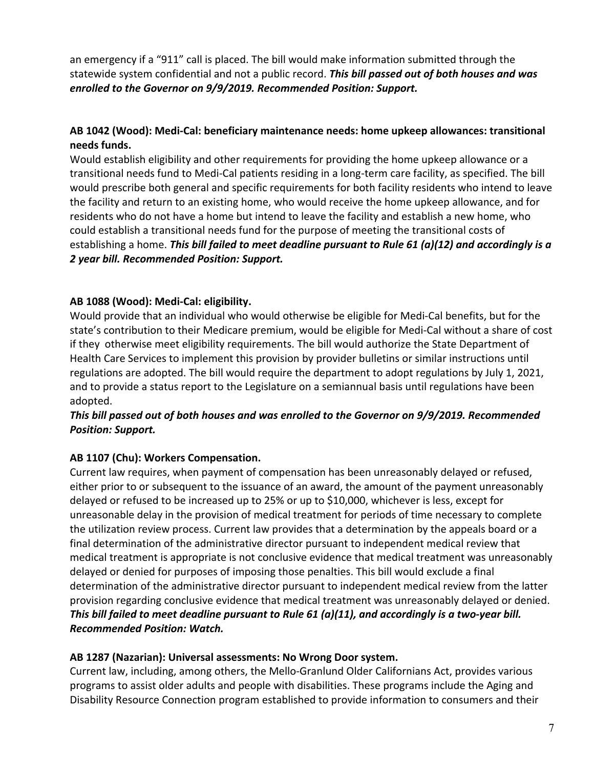an emergency if a "911" call is placed. The bill would make information submitted through the statewide system confidential and not a public record. *This bill passed out of both houses and was enrolled to the Governor on 9/9/2019. Recommended Position: Support.*

# **AB 1042 (Wood): Medi‐Cal: beneficiary maintenance needs: home upkeep allowances: transitional needs funds.**

Would establish eligibility and other requirements for providing the home upkeep allowance or a transitional needs fund to Medi‐Cal patients residing in a long‐term care facility, as specified. The bill would prescribe both general and specific requirements for both facility residents who intend to leave the facility and return to an existing home, who would receive the home upkeep allowance, and for residents who do not have a home but intend to leave the facility and establish a new home, who could establish a transitional needs fund for the purpose of meeting the transitional costs of establishing a home. *This bill failed to meet deadline pursuant to Rule 61 (a)(12) and accordingly is a 2 year bill. Recommended Position: Support.*

### **AB 1088 (Wood): Medi‐Cal: eligibility.**

Would provide that an individual who would otherwise be eligible for Medi‐Cal benefits, but for the state's contribution to their Medicare premium, would be eligible for Medi‐Cal without a share of cost if they otherwise meet eligibility requirements. The bill would authorize the State Department of Health Care Services to implement this provision by provider bulletins or similar instructions until regulations are adopted. The bill would require the department to adopt regulations by July 1, 2021, and to provide a status report to the Legislature on a semiannual basis until regulations have been adopted.

#### *This bill passed out of both houses and was enrolled to the Governor on 9/9/2019. Recommended Position: Support.*

#### **AB 1107 (Chu): Workers Compensation.**

Current law requires, when payment of compensation has been unreasonably delayed or refused, either prior to or subsequent to the issuance of an award, the amount of the payment unreasonably delayed or refused to be increased up to 25% or up to \$10,000, whichever is less, except for unreasonable delay in the provision of medical treatment for periods of time necessary to complete the utilization review process. Current law provides that a determination by the appeals board or a final determination of the administrative director pursuant to independent medical review that medical treatment is appropriate is not conclusive evidence that medical treatment was unreasonably delayed or denied for purposes of imposing those penalties. This bill would exclude a final determination of the administrative director pursuant to independent medical review from the latter provision regarding conclusive evidence that medical treatment was unreasonably delayed or denied. *This bill failed to meet deadline pursuant to Rule 61 (a)(11), and accordingly is a two‐year bill. Recommended Position: Watch.* 

#### **AB 1287 (Nazarian): Universal assessments: No Wrong Door system.**

Current law, including, among others, the Mello‐Granlund Older Californians Act, provides various programs to assist older adults and people with disabilities. These programs include the Aging and Disability Resource Connection program established to provide information to consumers and their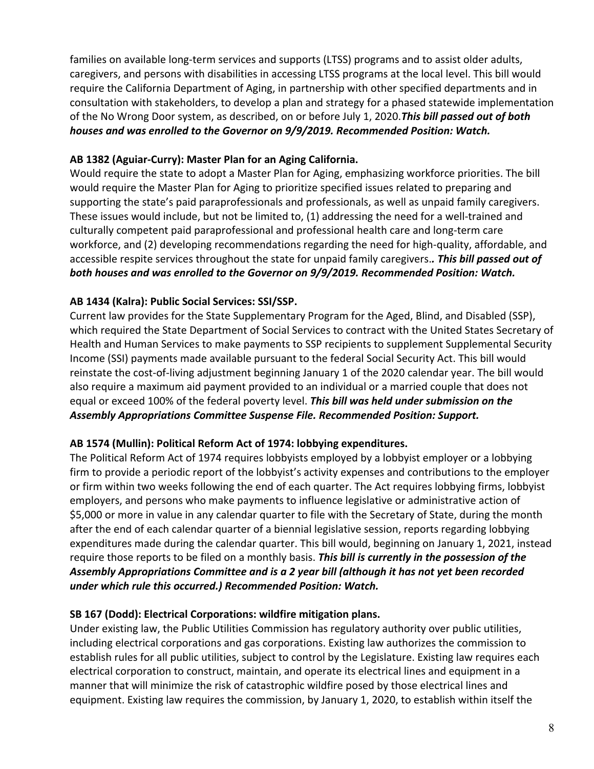families on available long-term services and supports (LTSS) programs and to assist older adults, caregivers, and persons with disabilities in accessing LTSS programs at the local level. This bill would require the California Department of Aging, in partnership with other specified departments and in consultation with stakeholders, to develop a plan and strategy for a phased statewide implementation of the No Wrong Door system, as described, on or before July 1, 2020.*This bill passed out of both houses and was enrolled to the Governor on 9/9/2019. Recommended Position: Watch.* 

### **AB 1382 (Aguiar‐Curry): Master Plan for an Aging California.**

Would require the state to adopt a Master Plan for Aging, emphasizing workforce priorities. The bill would require the Master Plan for Aging to prioritize specified issues related to preparing and supporting the state's paid paraprofessionals and professionals, as well as unpaid family caregivers. These issues would include, but not be limited to, (1) addressing the need for a well-trained and culturally competent paid paraprofessional and professional health care and long‐term care workforce, and (2) developing recommendations regarding the need for high‐quality, affordable, and accessible respite services throughout the state for unpaid family caregivers.*. This bill passed out of both houses and was enrolled to the Governor on 9/9/2019. Recommended Position: Watch.* 

# **AB 1434 (Kalra): Public Social Services: SSI/SSP.**

Current law provides for the State Supplementary Program for the Aged, Blind, and Disabled (SSP), which required the State Department of Social Services to contract with the United States Secretary of Health and Human Services to make payments to SSP recipients to supplement Supplemental Security Income (SSI) payments made available pursuant to the federal Social Security Act. This bill would reinstate the cost‐of‐living adjustment beginning January 1 of the 2020 calendar year. The bill would also require a maximum aid payment provided to an individual or a married couple that does not equal or exceed 100% of the federal poverty level. *This bill was held under submission on the Assembly Appropriations Committee Suspense File. Recommended Position: Support.*

#### **AB 1574 (Mullin): Political Reform Act of 1974: lobbying expenditures.**

The Political Reform Act of 1974 requires lobbyists employed by a lobbyist employer or a lobbying firm to provide a periodic report of the lobbyist's activity expenses and contributions to the employer or firm within two weeks following the end of each quarter. The Act requires lobbying firms, lobbyist employers, and persons who make payments to influence legislative or administrative action of \$5,000 or more in value in any calendar quarter to file with the Secretary of State, during the month after the end of each calendar quarter of a biennial legislative session, reports regarding lobbying expenditures made during the calendar quarter. This bill would, beginning on January 1, 2021, instead require those reports to be filed on a monthly basis. *This bill is currently in the possession of the Assembly Appropriations Committee and is a 2 year bill (although it has not yet been recorded under which rule this occurred.) Recommended Position: Watch.*

#### **SB 167 (Dodd): Electrical Corporations: wildfire mitigation plans.**

Under existing law, the Public Utilities Commission has regulatory authority over public utilities, including electrical corporations and gas corporations. Existing law authorizes the commission to establish rules for all public utilities, subject to control by the Legislature. Existing law requires each electrical corporation to construct, maintain, and operate its electrical lines and equipment in a manner that will minimize the risk of catastrophic wildfire posed by those electrical lines and equipment. Existing law requires the commission, by January 1, 2020, to establish within itself the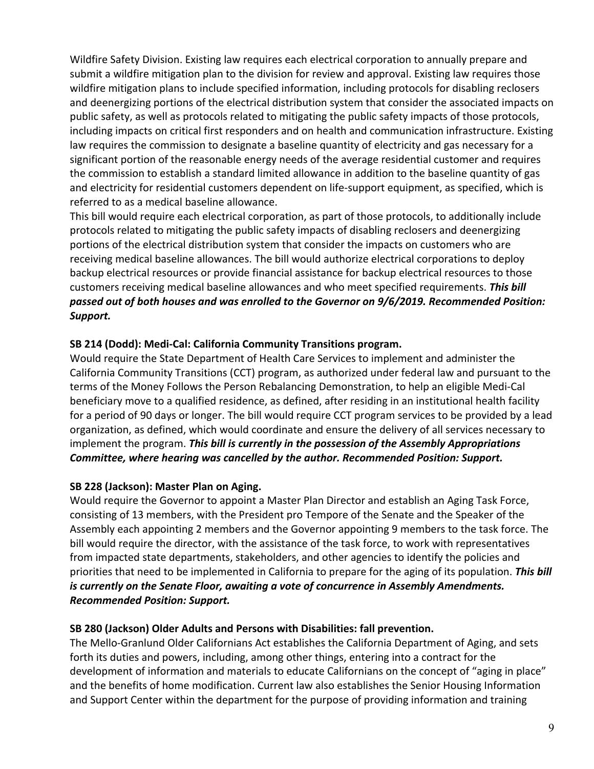Wildfire Safety Division. Existing law requires each electrical corporation to annually prepare and submit a wildfire mitigation plan to the division for review and approval. Existing law requires those wildfire mitigation plans to include specified information, including protocols for disabling reclosers and deenergizing portions of the electrical distribution system that consider the associated impacts on public safety, as well as protocols related to mitigating the public safety impacts of those protocols, including impacts on critical first responders and on health and communication infrastructure. Existing law requires the commission to designate a baseline quantity of electricity and gas necessary for a significant portion of the reasonable energy needs of the average residential customer and requires the commission to establish a standard limited allowance in addition to the baseline quantity of gas and electricity for residential customers dependent on life-support equipment, as specified, which is referred to as a medical baseline allowance.

This bill would require each electrical corporation, as part of those protocols, to additionally include protocols related to mitigating the public safety impacts of disabling reclosers and deenergizing portions of the electrical distribution system that consider the impacts on customers who are receiving medical baseline allowances. The bill would authorize electrical corporations to deploy backup electrical resources or provide financial assistance for backup electrical resources to those customers receiving medical baseline allowances and who meet specified requirements. *This bill passed out of both houses and was enrolled to the Governor on 9/6/2019. Recommended Position: Support.* 

### **SB 214 (Dodd): Medi‐Cal: California Community Transitions program.**

Would require the State Department of Health Care Services to implement and administer the California Community Transitions (CCT) program, as authorized under federal law and pursuant to the terms of the Money Follows the Person Rebalancing Demonstration, to help an eligible Medi‐Cal beneficiary move to a qualified residence, as defined, after residing in an institutional health facility for a period of 90 days or longer. The bill would require CCT program services to be provided by a lead organization, as defined, which would coordinate and ensure the delivery of all services necessary to implement the program. *This bill is currently in the possession of the Assembly Appropriations Committee, where hearing was cancelled by the author. Recommended Position: Support.*

# **SB 228 (Jackson): Master Plan on Aging.**

Would require the Governor to appoint a Master Plan Director and establish an Aging Task Force, consisting of 13 members, with the President pro Tempore of the Senate and the Speaker of the Assembly each appointing 2 members and the Governor appointing 9 members to the task force. The bill would require the director, with the assistance of the task force, to work with representatives from impacted state departments, stakeholders, and other agencies to identify the policies and priorities that need to be implemented in California to prepare for the aging of its population. *This bill is currently on the Senate Floor, awaiting a vote of concurrence in Assembly Amendments. Recommended Position: Support.* 

#### **SB 280 (Jackson) Older Adults and Persons with Disabilities: fall prevention.**

The Mello‐Granlund Older Californians Act establishes the California Department of Aging, and sets forth its duties and powers, including, among other things, entering into a contract for the development of information and materials to educate Californians on the concept of "aging in place" and the benefits of home modification. Current law also establishes the Senior Housing Information and Support Center within the department for the purpose of providing information and training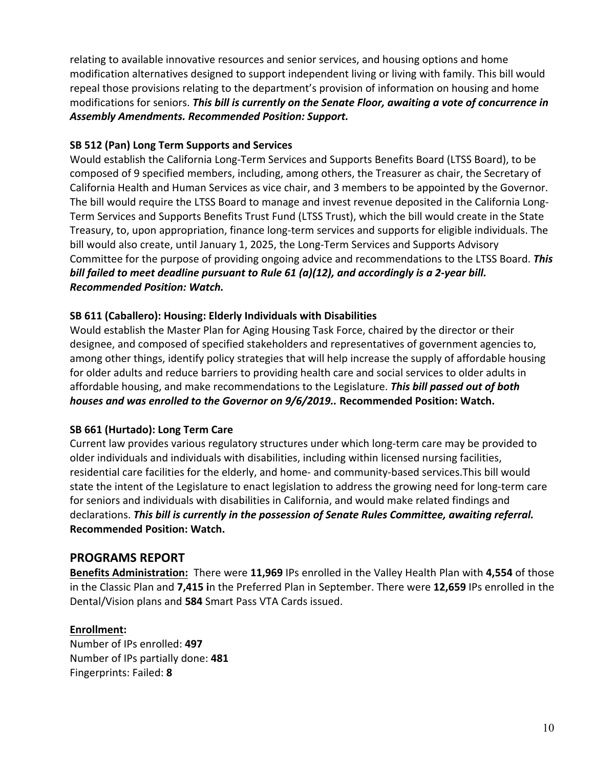relating to available innovative resources and senior services, and housing options and home modification alternatives designed to support independent living or living with family. This bill would repeal those provisions relating to the department's provision of information on housing and home modifications for seniors. *This bill is currently on the Senate Floor, awaiting a vote of concurrence in Assembly Amendments. Recommended Position: Support.* 

### **SB 512 (Pan) Long Term Supports and Services**

Would establish the California Long‐Term Services and Supports Benefits Board (LTSS Board), to be composed of 9 specified members, including, among others, the Treasurer as chair, the Secretary of California Health and Human Services as vice chair, and 3 members to be appointed by the Governor. The bill would require the LTSS Board to manage and invest revenue deposited in the California Long‐ Term Services and Supports Benefits Trust Fund (LTSS Trust), which the bill would create in the State Treasury, to, upon appropriation, finance long‐term services and supports for eligible individuals. The bill would also create, until January 1, 2025, the Long-Term Services and Supports Advisory Committee for the purpose of providing ongoing advice and recommendations to the LTSS Board. *This bill failed to meet deadline pursuant to Rule 61 (a)(12), and accordingly is a 2‐year bill. Recommended Position: Watch.* 

### **SB 611 (Caballero): Housing: Elderly Individuals with Disabilities**

Would establish the Master Plan for Aging Housing Task Force, chaired by the director or their designee, and composed of specified stakeholders and representatives of government agencies to, among other things, identify policy strategies that will help increase the supply of affordable housing for older adults and reduce barriers to providing health care and social services to older adults in affordable housing, and make recommendations to the Legislature. *This bill passed out of both houses and was enrolled to the Governor on 9/6/2019..* **Recommended Position: Watch.** 

# **SB 661 (Hurtado): Long Term Care**

Current law provides various regulatory structures under which long‐term care may be provided to older individuals and individuals with disabilities, including within licensed nursing facilities, residential care facilities for the elderly, and home‐ and community‐based services.This bill would state the intent of the Legislature to enact legislation to address the growing need for long‐term care for seniors and individuals with disabilities in California, and would make related findings and declarations. *This bill is currently in the possession of Senate Rules Committee, awaiting referral.* **Recommended Position: Watch.** 

# **PROGRAMS REPORT**

**Benefits Administration:** There were **11,969** IPs enrolled in the Valley Health Plan with **4,554** of those in the Classic Plan and **7,415 i**n the Preferred Plan in September. There were **12,659** IPs enrolled in the Dental/Vision plans and **584** Smart Pass VTA Cards issued.

#### **Enrollment:**

Number of IPs enrolled: **497**  Number of IPs partially done: **481** Fingerprints: Failed: **8**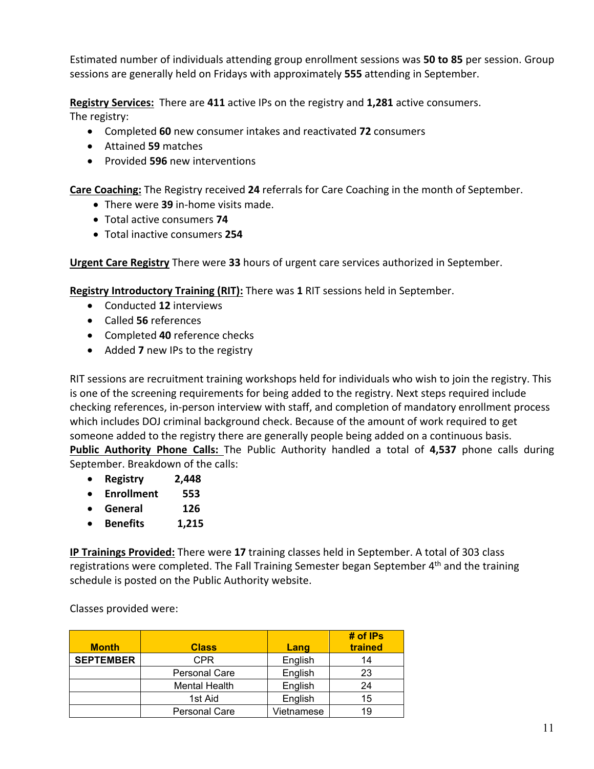Estimated number of individuals attending group enrollment sessions was **50 to 85** per session. Group sessions are generally held on Fridays with approximately **555** attending in September.

**Registry Services:** There are **411** active IPs on the registry and **1,281** active consumers. The registry:

- Completed **60** new consumer intakes and reactivated **72** consumers
- Attained **59** matches
- Provided **596** new interventions

**Care Coaching:** The Registry received **24** referrals for Care Coaching in the month of September.

- There were **39** in‐home visits made.
- Total active consumers **74**
- Total inactive consumers **254**

**Urgent Care Registry** There were **33** hours of urgent care services authorized in September.

**Registry Introductory Training (RIT):** There was **1** RIT sessions held in September.

- Conducted **12** interviews
- Called **56** references
- Completed **40** reference checks
- Added **7** new IPs to the registry

RIT sessions are recruitment training workshops held for individuals who wish to join the registry. This is one of the screening requirements for being added to the registry. Next steps required include checking references, in‐person interview with staff, and completion of mandatory enrollment process which includes DOJ criminal background check. Because of the amount of work required to get someone added to the registry there are generally people being added on a continuous basis. **Public Authority Phone Calls:** The Public Authority handled a total of 4,537 phone calls during September. Breakdown of the calls:

- **Registry 2,448**
- **Enrollment 553**
- **General 126**
- **Benefits 1,215**

**IP Trainings Provided:** There were **17** training classes held in September. A total of 303 class registrations were completed. The Fall Training Semester began September 4<sup>th</sup> and the training schedule is posted on the Public Authority website.

Classes provided were:

| <b>Month</b>     | <b>Class</b>         | Lang       | $#$ of IPs<br>trained |
|------------------|----------------------|------------|-----------------------|
| <b>SEPTEMBER</b> | <b>CPR</b>           | English    | 14                    |
|                  | <b>Personal Care</b> | English    | 23                    |
|                  | <b>Mental Health</b> | English    | 24                    |
|                  | 1st Aid              | English    | 15                    |
|                  | <b>Personal Care</b> | Vietnamese | 19                    |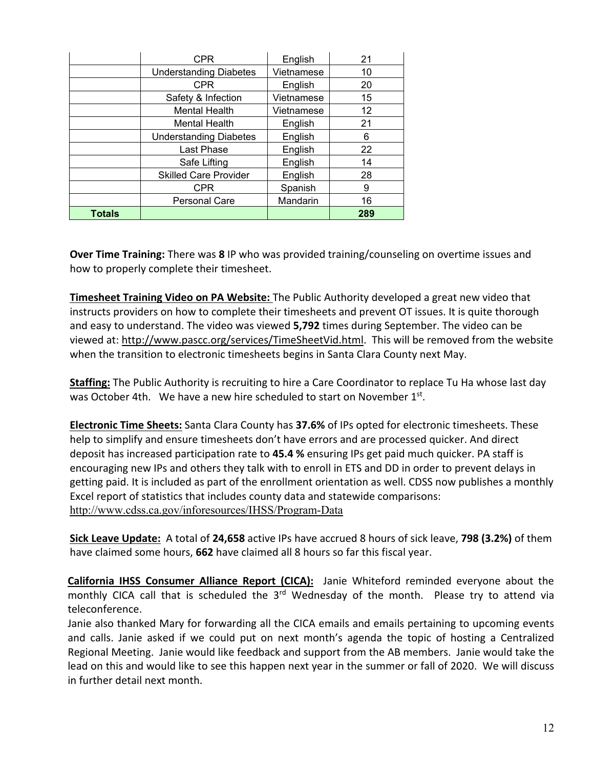|               | <b>CPR</b>                    | English    | 21  |
|---------------|-------------------------------|------------|-----|
|               | <b>Understanding Diabetes</b> | Vietnamese | 10  |
|               | <b>CPR</b>                    | English    | 20  |
|               | Safety & Infection            | Vietnamese | 15  |
|               | <b>Mental Health</b>          | Vietnamese | 12  |
|               | <b>Mental Health</b>          | English    | 21  |
|               | <b>Understanding Diabetes</b> | English    | 6   |
|               | Last Phase                    | English    | 22  |
|               | Safe Lifting                  | English    | 14  |
|               | <b>Skilled Care Provider</b>  | English    | 28  |
|               | <b>CPR</b>                    | Spanish    | 9   |
|               | Personal Care                 | Mandarin   | 16  |
| <b>Totals</b> |                               |            | 289 |

**Over Time Training:** There was **8** IP who was provided training/counseling on overtime issues and how to properly complete their timesheet.

**Timesheet Training Video on PA Website:** The Public Authority developed a great new video that instructs providers on how to complete their timesheets and prevent OT issues. It is quite thorough and easy to understand. The video was viewed **5,792** times during September. The video can be viewed at: http://www.pascc.org/services/TimeSheetVid.html. This will be removed from the website when the transition to electronic timesheets begins in Santa Clara County next May.

**Staffing:** The Public Authority is recruiting to hire a Care Coordinator to replace Tu Ha whose last day was October 4th. We have a new hire scheduled to start on November 1st.

**Electronic Time Sheets:** Santa Clara County has **37.6%** of IPs opted for electronic timesheets. These help to simplify and ensure timesheets don't have errors and are processed quicker. And direct deposit has increased participation rate to **45.4 %** ensuring IPs get paid much quicker. PA staff is encouraging new IPs and others they talk with to enroll in ETS and DD in order to prevent delays in getting paid. It is included as part of the enrollment orientation as well. CDSS now publishes a monthly Excel report of statistics that includes county data and statewide comparisons: http://www.cdss.ca.gov/inforesources/IHSS/Program-Data

**Sick Leave Update:** A total of **24,658** active IPs have accrued 8 hours of sick leave, **798 (3.2%)** of them have claimed some hours, **662** have claimed all 8 hours so far this fiscal year.

**California IHSS Consumer Alliance Report (CICA):** Janie Whiteford reminded everyone about the monthly CICA call that is scheduled the 3<sup>rd</sup> Wednesday of the month. Please try to attend via teleconference.

Janie also thanked Mary for forwarding all the CICA emails and emails pertaining to upcoming events and calls. Janie asked if we could put on next month's agenda the topic of hosting a Centralized Regional Meeting. Janie would like feedback and support from the AB members. Janie would take the lead on this and would like to see this happen next year in the summer or fall of 2020. We will discuss in further detail next month.